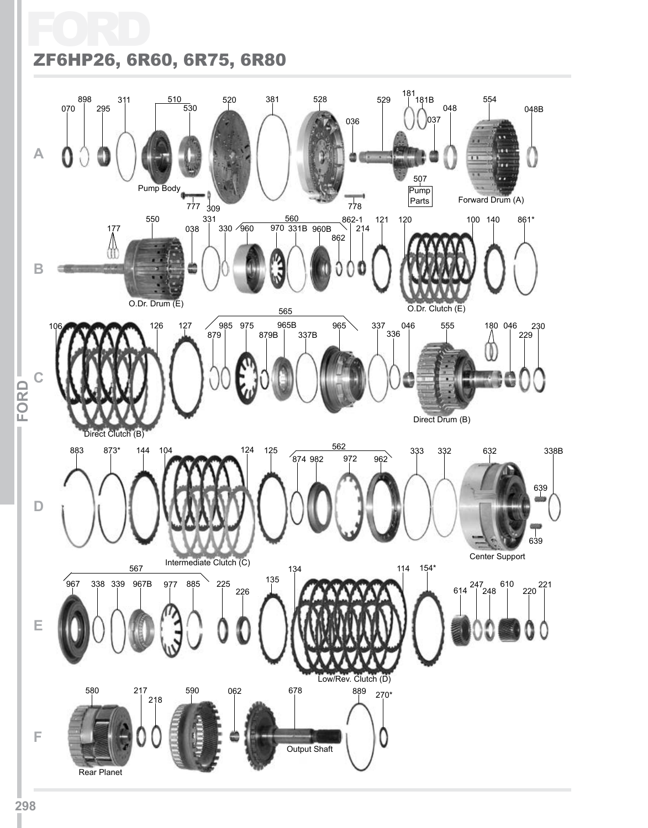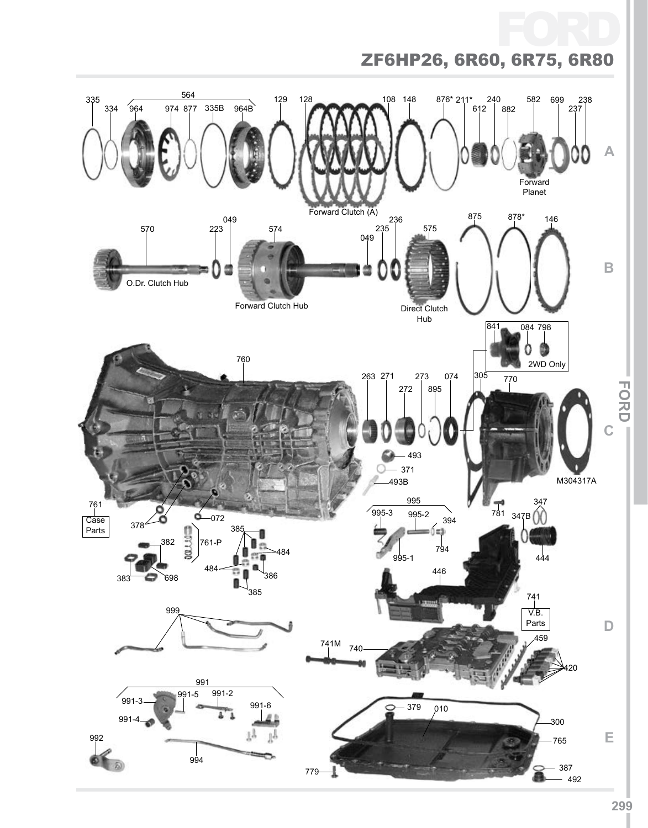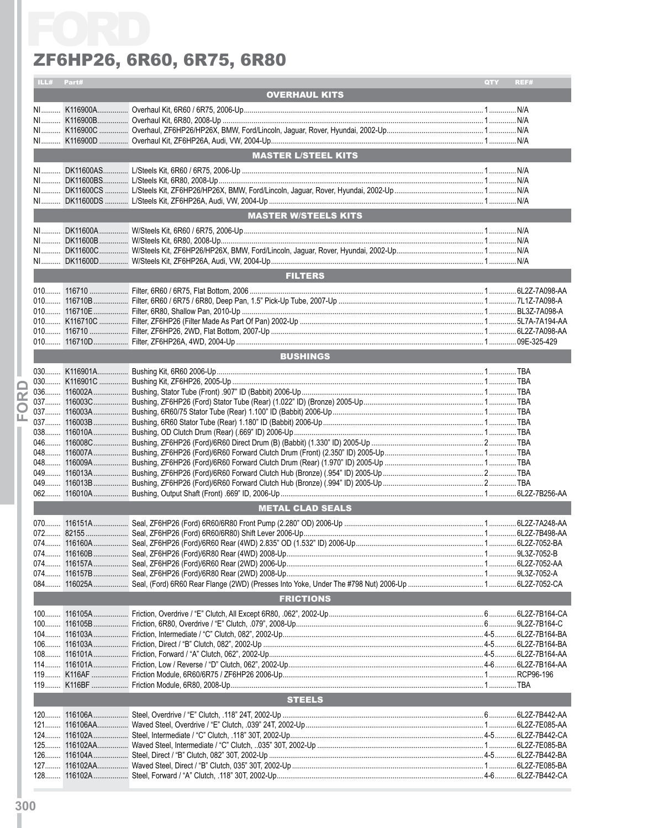|                         | ILL# Part#              |  |                             | QTY | REF# |  |  |
|-------------------------|-------------------------|--|-----------------------------|-----|------|--|--|
|                         |                         |  | <b>OVERHAUL KITS</b>        |     |      |  |  |
|                         |                         |  |                             |     |      |  |  |
|                         |                         |  |                             |     |      |  |  |
|                         |                         |  |                             |     |      |  |  |
|                         |                         |  |                             |     |      |  |  |
|                         |                         |  |                             |     |      |  |  |
|                         |                         |  | <b>MASTER L/STEEL KITS</b>  |     |      |  |  |
|                         | $N1$                    |  |                             |     |      |  |  |
|                         |                         |  |                             |     |      |  |  |
|                         |                         |  |                             |     |      |  |  |
|                         |                         |  |                             |     |      |  |  |
|                         |                         |  | <b>MASTER W/STEELS KITS</b> |     |      |  |  |
|                         |                         |  |                             |     |      |  |  |
|                         |                         |  |                             |     |      |  |  |
|                         |                         |  |                             |     |      |  |  |
|                         |                         |  |                             |     |      |  |  |
|                         |                         |  |                             |     |      |  |  |
|                         |                         |  | <b>FILTERS</b>              |     |      |  |  |
|                         |                         |  |                             |     |      |  |  |
|                         |                         |  |                             |     |      |  |  |
|                         |                         |  |                             |     |      |  |  |
|                         |                         |  |                             |     |      |  |  |
|                         |                         |  |                             |     |      |  |  |
|                         |                         |  |                             |     |      |  |  |
|                         |                         |  | <b>BUSHINGS</b>             |     |      |  |  |
|                         |                         |  |                             |     |      |  |  |
|                         |                         |  |                             |     |      |  |  |
|                         |                         |  |                             |     |      |  |  |
| $\overline{\mathbf{r}}$ |                         |  |                             |     |      |  |  |
| O                       |                         |  |                             |     |      |  |  |
| ш                       |                         |  |                             |     |      |  |  |
|                         |                         |  |                             |     |      |  |  |
|                         |                         |  |                             |     |      |  |  |
|                         |                         |  |                             |     |      |  |  |
|                         |                         |  |                             |     |      |  |  |
|                         |                         |  |                             |     |      |  |  |
|                         |                         |  |                             |     |      |  |  |
|                         |                         |  |                             |     |      |  |  |
|                         | <b>METAL CLAD SEALS</b> |  |                             |     |      |  |  |
|                         |                         |  |                             |     |      |  |  |
|                         |                         |  |                             |     |      |  |  |
|                         |                         |  |                             |     |      |  |  |
|                         |                         |  |                             |     |      |  |  |
|                         |                         |  |                             |     |      |  |  |
|                         |                         |  |                             |     |      |  |  |
|                         |                         |  |                             |     |      |  |  |
|                         |                         |  | <b>FRICTIONS</b>            |     |      |  |  |
|                         |                         |  |                             |     |      |  |  |
|                         |                         |  |                             |     |      |  |  |
|                         |                         |  |                             |     |      |  |  |
|                         |                         |  |                             |     |      |  |  |
|                         |                         |  |                             |     |      |  |  |
|                         |                         |  |                             |     |      |  |  |
|                         |                         |  |                             |     |      |  |  |
|                         |                         |  |                             |     |      |  |  |
|                         |                         |  |                             |     |      |  |  |
|                         |                         |  | <b>STEELS</b>               |     |      |  |  |
|                         |                         |  |                             |     |      |  |  |
|                         |                         |  |                             |     |      |  |  |
|                         |                         |  |                             |     |      |  |  |
|                         |                         |  |                             |     |      |  |  |
|                         |                         |  |                             |     |      |  |  |
|                         |                         |  |                             |     |      |  |  |
|                         |                         |  |                             |     |      |  |  |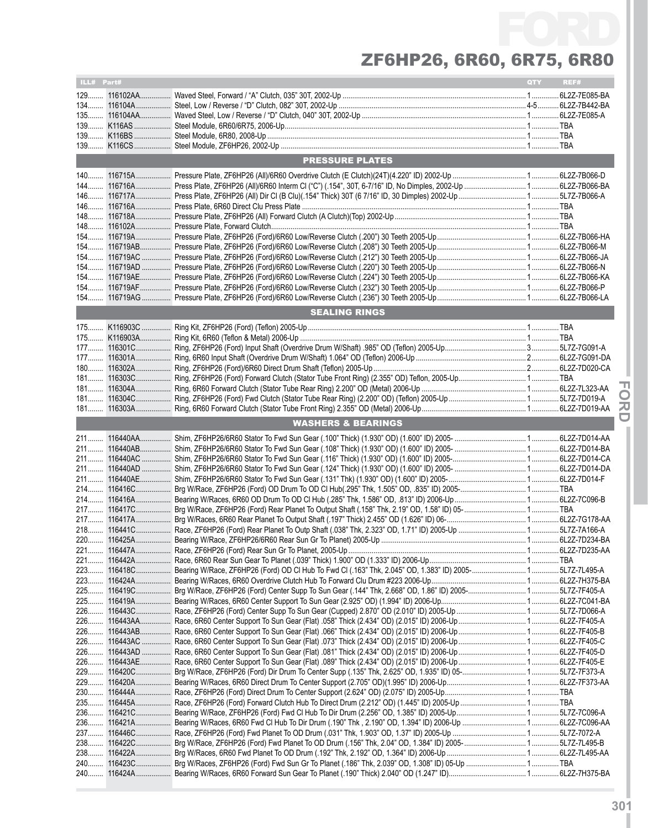| ILL# Part#<br>QTY REF# |              |                                                                                                                     |  |  |  |  |
|------------------------|--------------|---------------------------------------------------------------------------------------------------------------------|--|--|--|--|
|                        |              |                                                                                                                     |  |  |  |  |
|                        |              |                                                                                                                     |  |  |  |  |
|                        |              |                                                                                                                     |  |  |  |  |
|                        |              |                                                                                                                     |  |  |  |  |
|                        |              |                                                                                                                     |  |  |  |  |
|                        |              |                                                                                                                     |  |  |  |  |
|                        |              |                                                                                                                     |  |  |  |  |
|                        |              | <b>PRESSURE PLATES</b>                                                                                              |  |  |  |  |
| $140$                  |              |                                                                                                                     |  |  |  |  |
| 144                    |              |                                                                                                                     |  |  |  |  |
|                        |              |                                                                                                                     |  |  |  |  |
|                        |              |                                                                                                                     |  |  |  |  |
|                        |              |                                                                                                                     |  |  |  |  |
| $148$                  |              |                                                                                                                     |  |  |  |  |
| $154$                  |              |                                                                                                                     |  |  |  |  |
|                        |              |                                                                                                                     |  |  |  |  |
|                        |              |                                                                                                                     |  |  |  |  |
|                        |              |                                                                                                                     |  |  |  |  |
|                        |              |                                                                                                                     |  |  |  |  |
|                        |              |                                                                                                                     |  |  |  |  |
|                        |              | <b>SEALING RINGS</b>                                                                                                |  |  |  |  |
|                        |              |                                                                                                                     |  |  |  |  |
|                        |              |                                                                                                                     |  |  |  |  |
|                        |              |                                                                                                                     |  |  |  |  |
|                        |              |                                                                                                                     |  |  |  |  |
|                        |              |                                                                                                                     |  |  |  |  |
|                        |              |                                                                                                                     |  |  |  |  |
| $181$                  |              |                                                                                                                     |  |  |  |  |
|                        |              |                                                                                                                     |  |  |  |  |
|                        |              |                                                                                                                     |  |  |  |  |
|                        |              | <b>WASHERS &amp; BEARINGS</b>                                                                                       |  |  |  |  |
|                        |              |                                                                                                                     |  |  |  |  |
|                        | 211 116440AB |                                                                                                                     |  |  |  |  |
|                        | 211 116440AC |                                                                                                                     |  |  |  |  |
|                        |              |                                                                                                                     |  |  |  |  |
|                        |              |                                                                                                                     |  |  |  |  |
|                        |              |                                                                                                                     |  |  |  |  |
|                        |              |                                                                                                                     |  |  |  |  |
|                        |              |                                                                                                                     |  |  |  |  |
|                        |              |                                                                                                                     |  |  |  |  |
|                        |              |                                                                                                                     |  |  |  |  |
|                        | 220 116425A  |                                                                                                                     |  |  |  |  |
|                        |              |                                                                                                                     |  |  |  |  |
|                        |              |                                                                                                                     |  |  |  |  |
|                        |              | 223 116418C Bearing W/Race, ZF6HP26 (Ford) OD CI Hub To Fwd CI (.163" Thk, 2.045" OD, 1.383" ID) 2005- 5L7Z-7L495-A |  |  |  |  |
|                        |              |                                                                                                                     |  |  |  |  |
|                        |              |                                                                                                                     |  |  |  |  |
|                        |              |                                                                                                                     |  |  |  |  |
|                        |              |                                                                                                                     |  |  |  |  |
|                        |              |                                                                                                                     |  |  |  |  |
|                        |              |                                                                                                                     |  |  |  |  |
|                        |              |                                                                                                                     |  |  |  |  |
|                        |              |                                                                                                                     |  |  |  |  |
|                        |              |                                                                                                                     |  |  |  |  |
|                        |              |                                                                                                                     |  |  |  |  |
|                        |              |                                                                                                                     |  |  |  |  |
|                        |              |                                                                                                                     |  |  |  |  |
|                        |              |                                                                                                                     |  |  |  |  |
|                        |              |                                                                                                                     |  |  |  |  |
|                        |              |                                                                                                                     |  |  |  |  |
|                        |              |                                                                                                                     |  |  |  |  |
|                        |              |                                                                                                                     |  |  |  |  |
|                        |              |                                                                                                                     |  |  |  |  |

**IFor dI**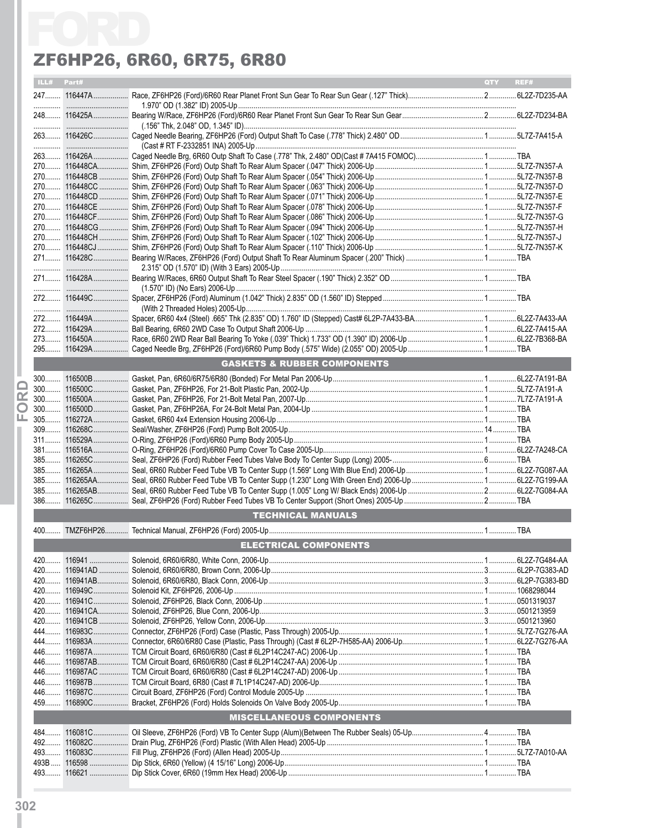|   |            | ZF6HP26, 6R60, 6R75, 6R80              |     |      |
|---|------------|----------------------------------------|-----|------|
|   | ILL# Part# |                                        | QTY | REF# |
|   |            |                                        |     |      |
|   |            |                                        |     |      |
|   |            |                                        |     |      |
|   |            |                                        |     |      |
|   |            |                                        |     |      |
|   |            |                                        |     |      |
|   |            |                                        |     |      |
|   |            |                                        |     |      |
|   |            |                                        |     |      |
|   |            |                                        |     |      |
|   |            |                                        |     |      |
|   |            |                                        |     |      |
|   |            |                                        |     |      |
|   |            |                                        |     |      |
|   |            |                                        |     |      |
|   |            |                                        |     |      |
|   |            |                                        |     |      |
|   |            |                                        |     |      |
|   |            |                                        |     |      |
|   |            |                                        |     |      |
|   |            |                                        |     |      |
|   |            |                                        |     |      |
|   |            |                                        |     |      |
|   |            | <b>GASKETS &amp; RUBBER COMPONENTS</b> |     |      |
|   |            |                                        |     |      |
|   |            |                                        |     |      |
| œ |            |                                        |     |      |
| O |            |                                        |     |      |
| ட |            |                                        |     |      |
|   |            |                                        |     |      |
|   |            |                                        |     |      |
|   |            |                                        |     |      |
|   |            |                                        |     |      |
|   |            |                                        |     |      |
|   |            |                                        |     |      |
|   |            |                                        |     |      |
|   |            |                                        |     |      |
|   |            | <b>TECHNICAL MANUALS</b>               |     |      |
|   |            |                                        |     |      |
|   |            | <b>ELECTRICAL COMPONENTS</b>           |     |      |
|   |            |                                        |     |      |
|   |            |                                        |     |      |
|   |            |                                        |     |      |
|   |            |                                        |     |      |
|   |            |                                        |     |      |
|   |            |                                        |     |      |
|   |            |                                        |     |      |
|   |            |                                        |     |      |
|   |            |                                        |     |      |
|   |            |                                        |     |      |
|   |            |                                        |     |      |
|   |            |                                        |     |      |
|   |            |                                        |     |      |
|   |            |                                        |     |      |
|   |            | <b>MISCELLANEOUS COMPONENTS</b>        |     |      |
|   |            |                                        |     |      |
|   |            |                                        |     |      |
|   |            |                                        |     |      |
|   |            |                                        |     |      |
|   |            |                                        |     |      |
|   |            |                                        |     |      |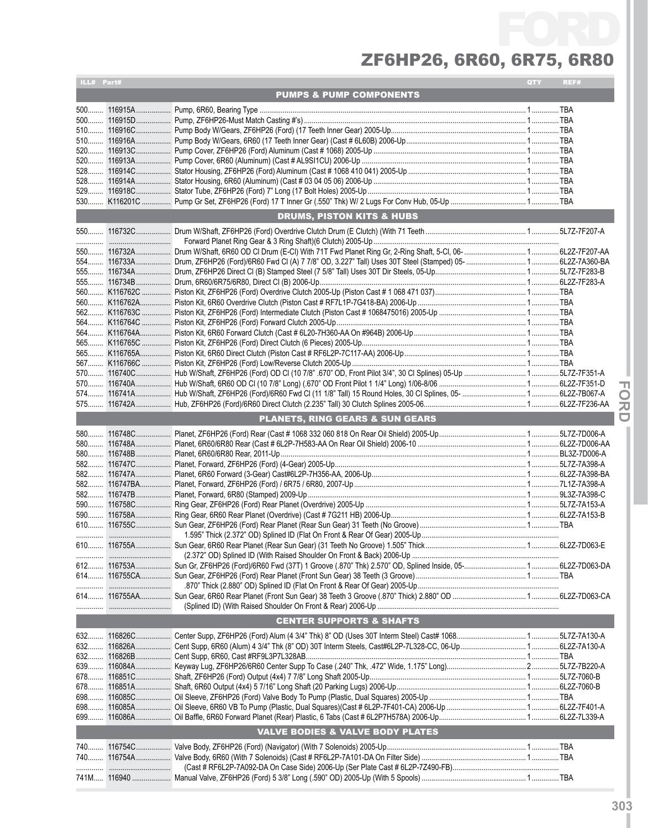| ILL# Part#                         |  |                                             | QTY | REF# |  |  |
|------------------------------------|--|---------------------------------------------|-----|------|--|--|
| <b>PUMPS &amp; PUMP COMPONENTS</b> |  |                                             |     |      |  |  |
|                                    |  |                                             |     |      |  |  |
|                                    |  |                                             |     |      |  |  |
|                                    |  |                                             |     |      |  |  |
|                                    |  |                                             |     |      |  |  |
|                                    |  |                                             |     |      |  |  |
|                                    |  |                                             |     |      |  |  |
|                                    |  |                                             |     |      |  |  |
|                                    |  |                                             |     |      |  |  |
|                                    |  |                                             |     |      |  |  |
|                                    |  |                                             |     |      |  |  |
|                                    |  |                                             |     |      |  |  |
|                                    |  | <b>DRUMS, PISTON KITS &amp; HUBS</b>        |     |      |  |  |
|                                    |  |                                             |     |      |  |  |
|                                    |  |                                             |     |      |  |  |
|                                    |  |                                             |     |      |  |  |
|                                    |  |                                             |     |      |  |  |
|                                    |  |                                             |     |      |  |  |
|                                    |  |                                             |     |      |  |  |
|                                    |  |                                             |     |      |  |  |
|                                    |  |                                             |     |      |  |  |
|                                    |  |                                             |     |      |  |  |
|                                    |  |                                             |     |      |  |  |
|                                    |  |                                             |     |      |  |  |
|                                    |  |                                             |     |      |  |  |
|                                    |  |                                             |     |      |  |  |
|                                    |  |                                             |     |      |  |  |
|                                    |  |                                             |     |      |  |  |
|                                    |  |                                             |     |      |  |  |
|                                    |  |                                             |     |      |  |  |
|                                    |  |                                             |     |      |  |  |
|                                    |  |                                             |     |      |  |  |
|                                    |  | <b>PLANETS, RING GEARS &amp; SUN GEARS</b>  |     |      |  |  |
|                                    |  |                                             |     |      |  |  |
|                                    |  |                                             |     |      |  |  |
|                                    |  |                                             |     |      |  |  |
|                                    |  |                                             |     |      |  |  |
|                                    |  |                                             |     |      |  |  |
|                                    |  |                                             |     |      |  |  |
|                                    |  |                                             |     |      |  |  |
|                                    |  |                                             |     |      |  |  |
|                                    |  |                                             |     |      |  |  |
|                                    |  |                                             |     |      |  |  |
|                                    |  |                                             |     |      |  |  |
|                                    |  |                                             |     |      |  |  |
|                                    |  |                                             |     |      |  |  |
|                                    |  |                                             |     |      |  |  |
|                                    |  |                                             |     |      |  |  |
|                                    |  |                                             |     |      |  |  |
|                                    |  |                                             |     |      |  |  |
|                                    |  |                                             |     |      |  |  |
|                                    |  | <b>CENTER SUPPORTS &amp; SHAFTS</b>         |     |      |  |  |
|                                    |  |                                             |     |      |  |  |
|                                    |  |                                             |     |      |  |  |
|                                    |  |                                             |     |      |  |  |
|                                    |  |                                             |     |      |  |  |
|                                    |  |                                             |     |      |  |  |
|                                    |  |                                             |     |      |  |  |
| 678                                |  |                                             |     |      |  |  |
|                                    |  |                                             |     |      |  |  |
|                                    |  |                                             |     |      |  |  |
|                                    |  |                                             |     |      |  |  |
|                                    |  | <b>VALVE BODIES &amp; VALVE BODY PLATES</b> |     |      |  |  |
|                                    |  |                                             |     |      |  |  |
|                                    |  |                                             |     |      |  |  |
|                                    |  |                                             |     |      |  |  |
|                                    |  |                                             |     |      |  |  |
|                                    |  |                                             |     |      |  |  |

**IFor dI**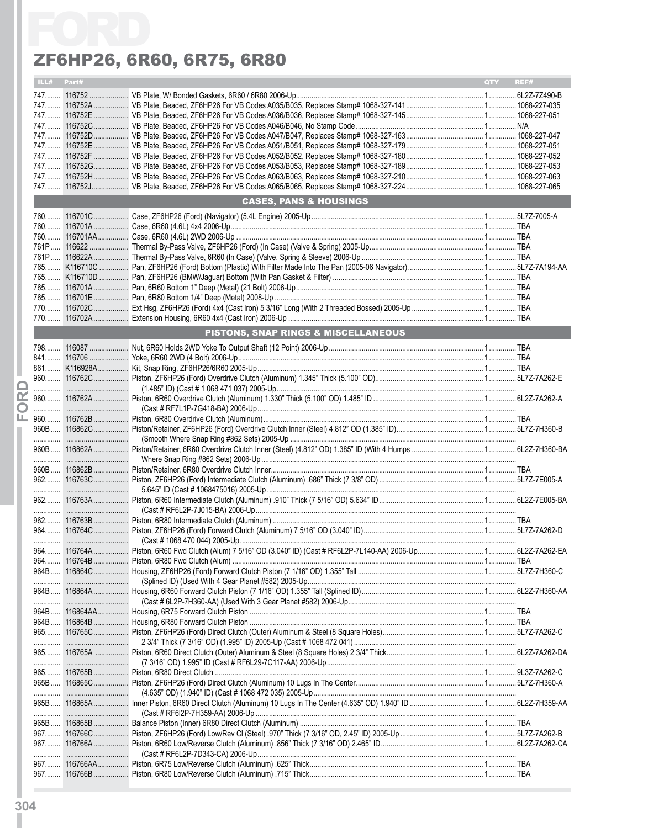|            | ZF6HP26, 6R60, 6R75, 6R80           |     |      |
|------------|-------------------------------------|-----|------|
| ILL# Part# |                                     | QTY | REF# |
|            |                                     |     |      |
|            |                                     |     |      |
|            |                                     |     |      |
|            |                                     |     |      |
|            |                                     |     |      |
|            |                                     |     |      |
|            |                                     |     |      |
|            |                                     |     |      |
|            |                                     |     |      |
|            | <b>CASES, PANS &amp; HOUSINGS</b>   |     |      |
|            |                                     |     |      |
|            |                                     |     |      |
|            |                                     |     |      |
|            |                                     |     |      |
|            |                                     |     |      |
|            |                                     |     |      |
|            |                                     |     |      |
|            |                                     |     |      |
|            |                                     |     |      |
|            |                                     |     |      |
|            | PISTONS, SNAP RINGS & MISCELLANEOUS |     |      |
|            |                                     |     |      |
|            |                                     |     |      |
|            |                                     |     |      |
|            |                                     |     |      |
|            |                                     |     |      |
|            |                                     |     |      |
|            |                                     |     |      |
|            |                                     |     |      |
|            |                                     |     |      |
|            |                                     |     |      |
|            |                                     |     |      |
|            |                                     |     |      |
|            |                                     |     |      |
|            |                                     |     |      |
|            |                                     |     |      |
|            |                                     |     |      |
|            |                                     |     |      |
|            |                                     |     |      |
|            |                                     |     |      |
|            |                                     |     |      |
|            |                                     |     |      |
|            |                                     |     |      |
|            |                                     |     |      |
|            |                                     |     |      |
|            |                                     |     |      |
|            |                                     |     |      |
|            |                                     |     |      |
|            |                                     |     |      |
|            |                                     |     |      |
|            |                                     |     |      |
|            |                                     |     |      |
|            |                                     |     |      |
|            |                                     |     |      |
|            |                                     |     |      |
|            |                                     |     |      |
|            |                                     |     |      |
|            |                                     |     |      |
|            |                                     |     |      |
|            |                                     |     |      |